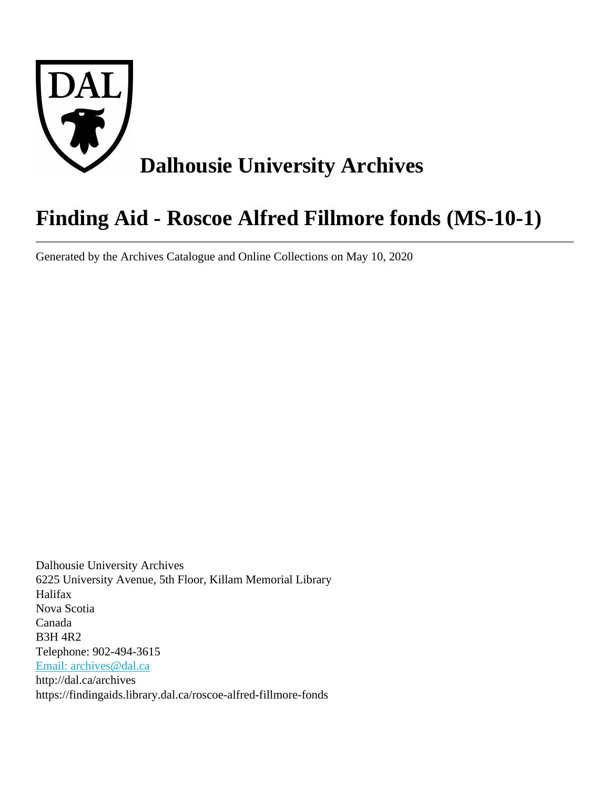

# **Finding Aid - Roscoe Alfred Fillmore fonds (MS-10-1)**

Generated by the Archives Catalogue and Online Collections on May 10, 2020

Dalhousie University Archives 6225 University Avenue, 5th Floor, Killam Memorial Library Halifax Nova Scotia Canada B3H 4R2 Telephone: 902-494-3615 [Email: archives@dal.ca](mailto:Email: archives@dal.ca) http://dal.ca/archives https://findingaids.library.dal.ca/roscoe-alfred-fillmore-fonds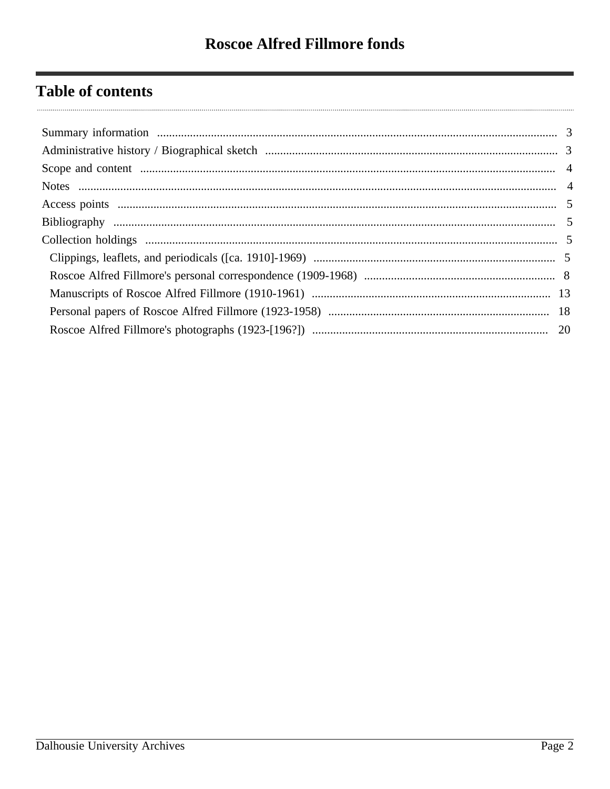# **Table of contents**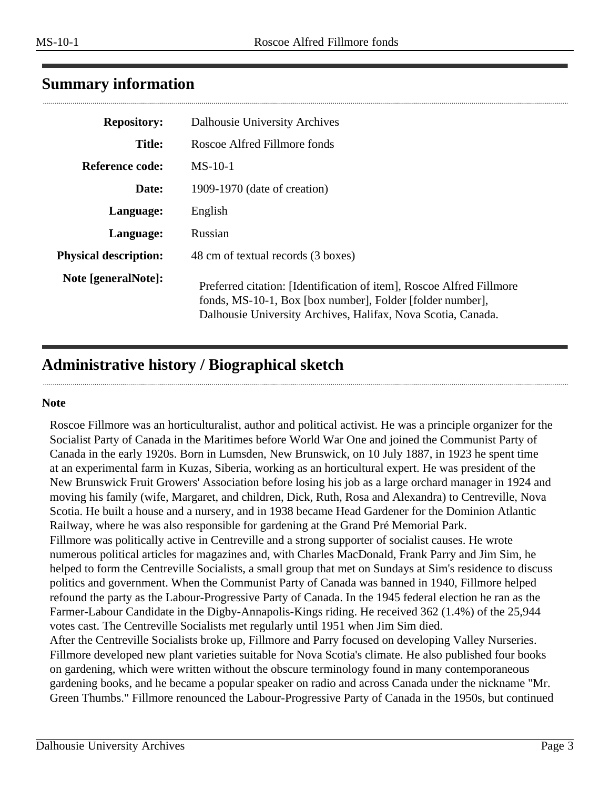# <span id="page-2-0"></span>**Summary information**

| <b>Repository:</b>           | Dalhousie University Archives                                                                                                                                                                     |
|------------------------------|---------------------------------------------------------------------------------------------------------------------------------------------------------------------------------------------------|
| <b>Title:</b>                | Roscoe Alfred Fillmore fonds                                                                                                                                                                      |
| <b>Reference code:</b>       | $MS-10-1$                                                                                                                                                                                         |
| Date:                        | 1909-1970 (date of creation)                                                                                                                                                                      |
| Language:                    | English                                                                                                                                                                                           |
| Language:                    | Russian                                                                                                                                                                                           |
| <b>Physical description:</b> | 48 cm of textual records (3 boxes)                                                                                                                                                                |
| Note [generalNote]:          | Preferred citation: [Identification of item], Roscoe Alfred Fillmore<br>fonds, MS-10-1, Box [box number], Folder [folder number],<br>Dalhousie University Archives, Halifax, Nova Scotia, Canada. |

# <span id="page-2-1"></span>**Administrative history / Biographical sketch**

#### **Note**

Roscoe Fillmore was an horticulturalist, author and political activist. He was a principle organizer for the Socialist Party of Canada in the Maritimes before World War One and joined the Communist Party of Canada in the early 1920s. Born in Lumsden, New Brunswick, on 10 July 1887, in 1923 he spent time at an experimental farm in Kuzas, Siberia, working as an horticultural expert. He was president of the New Brunswick Fruit Growers' Association before losing his job as a large orchard manager in 1924 and moving his family (wife, Margaret, and children, Dick, Ruth, Rosa and Alexandra) to Centreville, Nova Scotia. He built a house and a nursery, and in 1938 became Head Gardener for the Dominion Atlantic Railway, where he was also responsible for gardening at the Grand Pré Memorial Park. Fillmore was politically active in Centreville and a strong supporter of socialist causes. He wrote numerous political articles for magazines and, with Charles MacDonald, Frank Parry and Jim Sim, he helped to form the Centreville Socialists, a small group that met on Sundays at Sim's residence to discuss politics and government. When the Communist Party of Canada was banned in 1940, Fillmore helped refound the party as the Labour-Progressive Party of Canada. In the 1945 federal election he ran as the Farmer-Labour Candidate in the Digby-Annapolis-Kings riding. He received 362 (1.4%) of the 25,944 votes cast. The Centreville Socialists met regularly until 1951 when Jim Sim died. After the Centreville Socialists broke up, Fillmore and Parry focused on developing Valley Nurseries. Fillmore developed new plant varieties suitable for Nova Scotia's climate. He also published four books on gardening, which were written without the obscure terminology found in many contemporaneous gardening books, and he became a popular speaker on radio and across Canada under the nickname "Mr.

Green Thumbs." Fillmore renounced the Labour-Progressive Party of Canada in the 1950s, but continued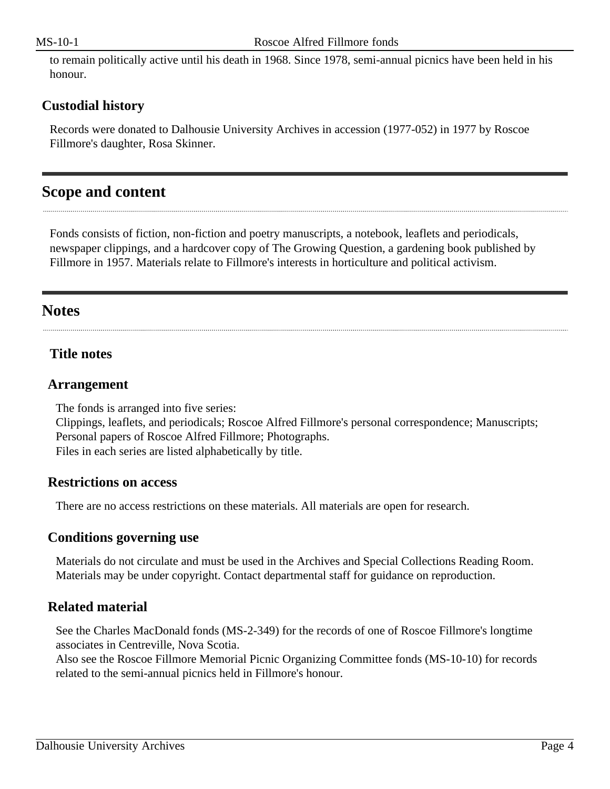to remain politically active until his death in 1968. Since 1978, semi-annual picnics have been held in his honour.

#### **Custodial history**

Records were donated to Dalhousie University Archives in accession (1977-052) in 1977 by Roscoe Fillmore's daughter, Rosa Skinner.

# <span id="page-3-0"></span>**Scope and content**

Fonds consists of fiction, non-fiction and poetry manuscripts, a notebook, leaflets and periodicals, newspaper clippings, and a hardcover copy of The Growing Question, a gardening book published by Fillmore in 1957. Materials relate to Fillmore's interests in horticulture and political activism.

# <span id="page-3-1"></span>**Notes**

#### **Title notes**

#### **Arrangement**

The fonds is arranged into five series:

Clippings, leaflets, and periodicals; Roscoe Alfred Fillmore's personal correspondence; Manuscripts; Personal papers of Roscoe Alfred Fillmore; Photographs. Files in each series are listed alphabetically by title.

#### **Restrictions on access**

There are no access restrictions on these materials. All materials are open for research.

#### **Conditions governing use**

Materials do not circulate and must be used in the Archives and Special Collections Reading Room. Materials may be under copyright. Contact departmental staff for guidance on reproduction.

## **Related material**

See the Charles MacDonald fonds (MS-2-349) for the records of one of Roscoe Fillmore's longtime associates in Centreville, Nova Scotia.

Also see the Roscoe Fillmore Memorial Picnic Organizing Committee fonds (MS-10-10) for records related to the semi-annual picnics held in Fillmore's honour.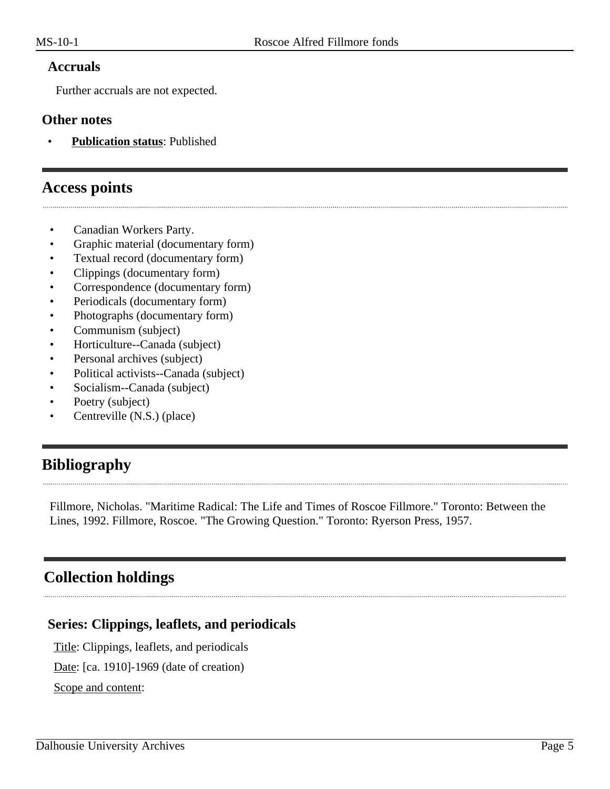#### **Accruals**

Further accruals are not expected.

#### **Other notes**

• **Publication status**: Published

## <span id="page-4-0"></span>**Access points**

- Canadian Workers Party.
- Graphic material (documentary form)
- Textual record (documentary form)
- Clippings (documentary form)
- Correspondence (documentary form)
- Periodicals (documentary form)
- Photographs (documentary form)
- Communism (subject)
- Horticulture--Canada (subject)
- Personal archives (subject)
- Political activists--Canada (subject)
- Socialism--Canada (subject)
- Poetry (subject)
- Centreville (N.S.) (place)

# <span id="page-4-1"></span>**Bibliography**

Fillmore, Nicholas. "Maritime Radical: The Life and Times of Roscoe Fillmore." Toronto: Between the Lines, 1992. Fillmore, Roscoe. "The Growing Question." Toronto: Ryerson Press, 1957.

# <span id="page-4-2"></span>**Collection holdings**

## <span id="page-4-3"></span>**Series: Clippings, leaflets, and periodicals**

Title: Clippings, leaflets, and periodicals

Date: [ca. 1910]-1969 (date of creation)

Scope and content: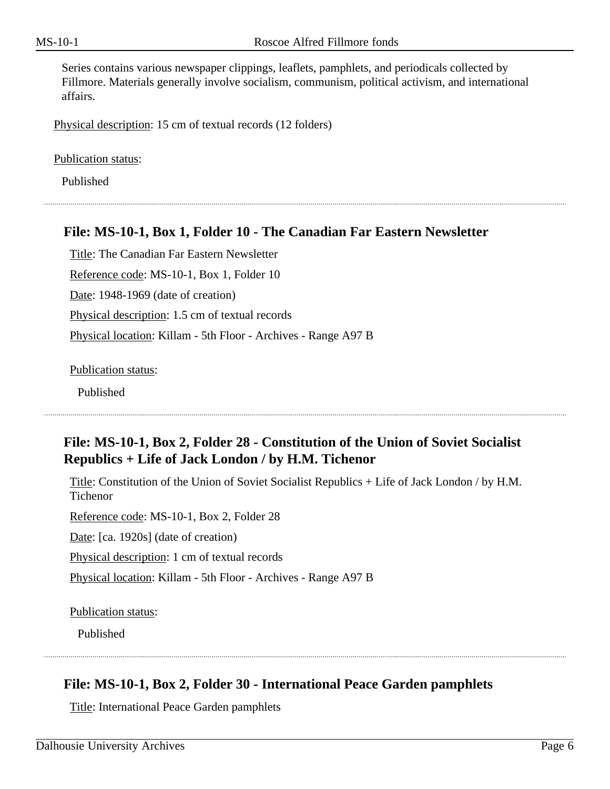Series contains various newspaper clippings, leaflets, pamphlets, and periodicals collected by Fillmore. Materials generally involve socialism, communism, political activism, and international affairs.

Physical description: 15 cm of textual records (12 folders)

Publication status:

Published

#### **File: MS-10-1, Box 1, Folder 10 - The Canadian Far Eastern Newsletter**

Title: The Canadian Far Eastern Newsletter Reference code: MS-10-1, Box 1, Folder 10 Date: 1948-1969 (date of creation) Physical description: 1.5 cm of textual records Physical location: Killam - 5th Floor - Archives - Range A97 B

Publication status:

Published

## **File: MS-10-1, Box 2, Folder 28 - Constitution of the Union of Soviet Socialist Republics + Life of Jack London / by H.M. Tichenor**

Title: Constitution of the Union of Soviet Socialist Republics + Life of Jack London / by H.M. Tichenor

Reference code: MS-10-1, Box 2, Folder 28

Date: [ca. 1920s] (date of creation)

Physical description: 1 cm of textual records

Physical location: Killam - 5th Floor - Archives - Range A97 B

Publication status:

Published

## **File: MS-10-1, Box 2, Folder 30 - International Peace Garden pamphlets**

Title: International Peace Garden pamphlets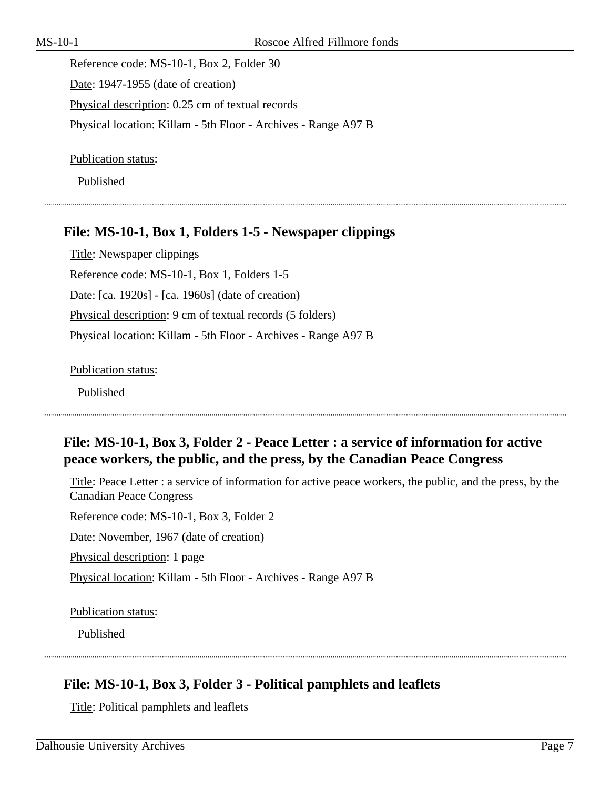Reference code: MS-10-1, Box 2, Folder 30 Date: 1947-1955 (date of creation) Physical description: 0.25 cm of textual records Physical location: Killam - 5th Floor - Archives - Range A97 B

Publication status:

Published

## **File: MS-10-1, Box 1, Folders 1-5 - Newspaper clippings**

Title: Newspaper clippings Reference code: MS-10-1, Box 1, Folders 1-5 Date: [ca. 1920s] - [ca. 1960s] (date of creation) Physical description: 9 cm of textual records (5 folders) Physical location: Killam - 5th Floor - Archives - Range A97 B

Publication status:

Published

## **File: MS-10-1, Box 3, Folder 2 - Peace Letter : a service of information for active peace workers, the public, and the press, by the Canadian Peace Congress**

Title: Peace Letter : a service of information for active peace workers, the public, and the press, by the Canadian Peace Congress

Reference code: MS-10-1, Box 3, Folder 2

Date: November, 1967 (date of creation)

Physical description: 1 page

Physical location: Killam - 5th Floor - Archives - Range A97 B

Publication status:

Published

# **File: MS-10-1, Box 3, Folder 3 - Political pamphlets and leaflets**

Title: Political pamphlets and leaflets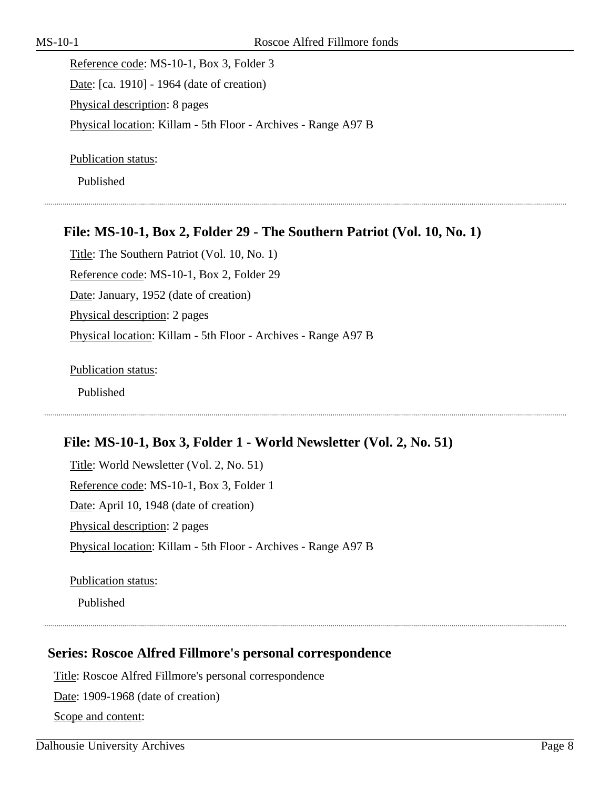Reference code: MS-10-1, Box 3, Folder 3 Date: [ca. 1910] - 1964 (date of creation) Physical description: 8 pages Physical location: Killam - 5th Floor - Archives - Range A97 B

Publication status:

Published

#### **File: MS-10-1, Box 2, Folder 29 - The Southern Patriot (Vol. 10, No. 1)**

Title: The Southern Patriot (Vol. 10, No. 1) Reference code: MS-10-1, Box 2, Folder 29 Date: January, 1952 (date of creation) Physical description: 2 pages Physical location: Killam - 5th Floor - Archives - Range A97 B

Publication status: Published

## **File: MS-10-1, Box 3, Folder 1 - World Newsletter (Vol. 2, No. 51)**

Title: World Newsletter (Vol. 2, No. 51) Reference code: MS-10-1, Box 3, Folder 1 Date: April 10, 1948 (date of creation) Physical description: 2 pages Physical location: Killam - 5th Floor - Archives - Range A97 B

Publication status:

Published

#### <span id="page-7-0"></span>**Series: Roscoe Alfred Fillmore's personal correspondence**

Title: Roscoe Alfred Fillmore's personal correspondence

Date: 1909-1968 (date of creation)

Scope and content: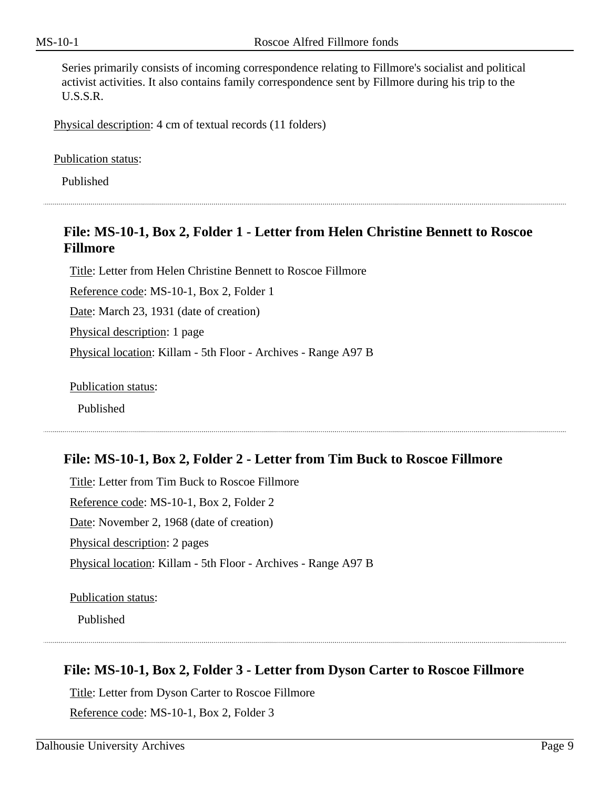Series primarily consists of incoming correspondence relating to Fillmore's socialist and political activist activities. It also contains family correspondence sent by Fillmore during his trip to the U.S.S.R.

Physical description: 4 cm of textual records (11 folders)

Publication status:

Published

## **File: MS-10-1, Box 2, Folder 1 - Letter from Helen Christine Bennett to Roscoe Fillmore**

Title: Letter from Helen Christine Bennett to Roscoe Fillmore

Reference code: MS-10-1, Box 2, Folder 1

Date: March 23, 1931 (date of creation)

Physical description: 1 page

Physical location: Killam - 5th Floor - Archives - Range A97 B

Publication status:

Published

#### **File: MS-10-1, Box 2, Folder 2 - Letter from Tim Buck to Roscoe Fillmore**

Title: Letter from Tim Buck to Roscoe Fillmore Reference code: MS-10-1, Box 2, Folder 2 Date: November 2, 1968 (date of creation) Physical description: 2 pages Physical location: Killam - 5th Floor - Archives - Range A97 B

Publication status:

Published

## **File: MS-10-1, Box 2, Folder 3 - Letter from Dyson Carter to Roscoe Fillmore**

Title: Letter from Dyson Carter to Roscoe Fillmore

Reference code: MS-10-1, Box 2, Folder 3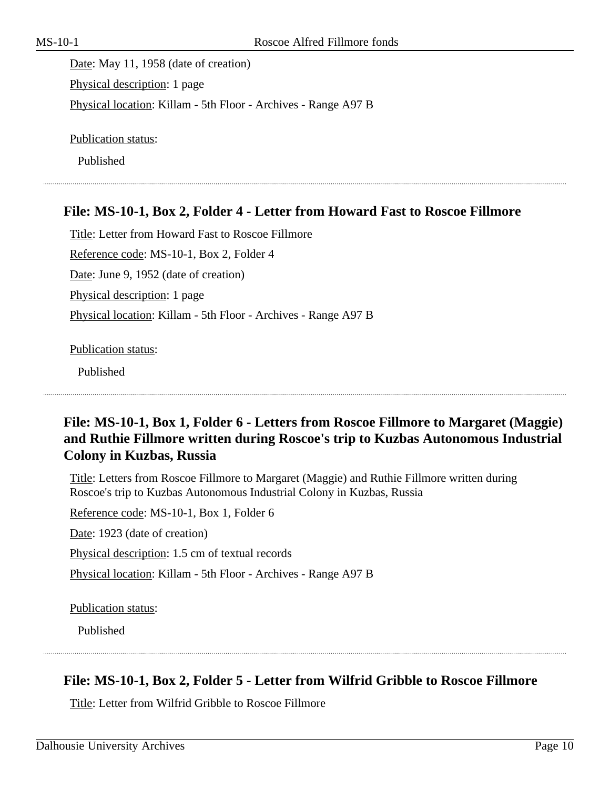Date: May 11, 1958 (date of creation) Physical description: 1 page Physical location: Killam - 5th Floor - Archives - Range A97 B

Publication status:

Published

#### **File: MS-10-1, Box 2, Folder 4 - Letter from Howard Fast to Roscoe Fillmore**

Title: Letter from Howard Fast to Roscoe Fillmore Reference code: MS-10-1, Box 2, Folder 4 Date: June 9, 1952 (date of creation) Physical description: 1 page Physical location: Killam - 5th Floor - Archives - Range A97 B

Publication status:

Published

## **File: MS-10-1, Box 1, Folder 6 - Letters from Roscoe Fillmore to Margaret (Maggie) and Ruthie Fillmore written during Roscoe's trip to Kuzbas Autonomous Industrial Colony in Kuzbas, Russia**

Title: Letters from Roscoe Fillmore to Margaret (Maggie) and Ruthie Fillmore written during Roscoe's trip to Kuzbas Autonomous Industrial Colony in Kuzbas, Russia

Reference code: MS-10-1, Box 1, Folder 6 Date: 1923 (date of creation) Physical description: 1.5 cm of textual records Physical location: Killam - 5th Floor - Archives - Range A97 B

Publication status:

Published

## **File: MS-10-1, Box 2, Folder 5 - Letter from Wilfrid Gribble to Roscoe Fillmore**

Title: Letter from Wilfrid Gribble to Roscoe Fillmore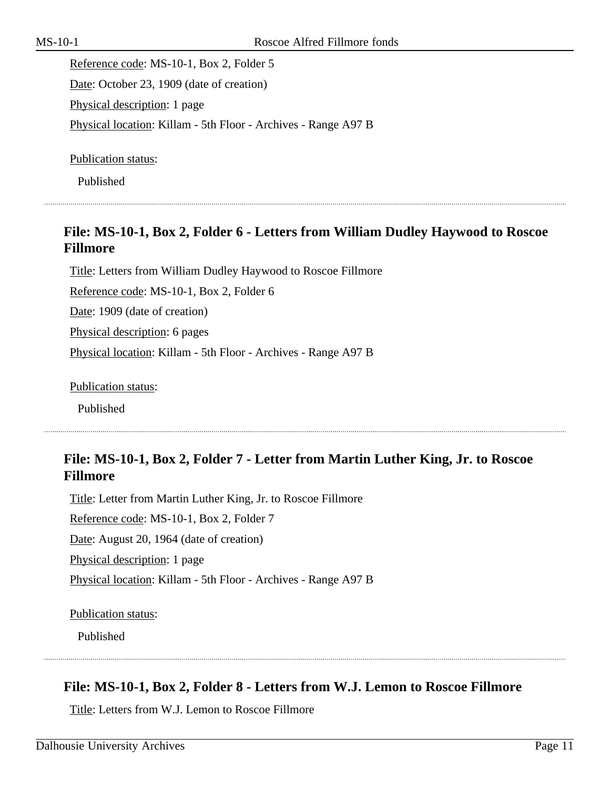Reference code: MS-10-1, Box 2, Folder 5 Date: October 23, 1909 (date of creation) Physical description: 1 page Physical location: Killam - 5th Floor - Archives - Range A97 B

Publication status:

Published

## **File: MS-10-1, Box 2, Folder 6 - Letters from William Dudley Haywood to Roscoe Fillmore**

Title: Letters from William Dudley Haywood to Roscoe Fillmore Reference code: MS-10-1, Box 2, Folder 6 Date: 1909 (date of creation) Physical description: 6 pages Physical location: Killam - 5th Floor - Archives - Range A97 B

Publication status:

Published

## **File: MS-10-1, Box 2, Folder 7 - Letter from Martin Luther King, Jr. to Roscoe Fillmore**

Title: Letter from Martin Luther King, Jr. to Roscoe Fillmore Reference code: MS-10-1, Box 2, Folder 7 Date: August 20, 1964 (date of creation) Physical description: 1 page Physical location: Killam - 5th Floor - Archives - Range A97 B

Publication status:

Published

## **File: MS-10-1, Box 2, Folder 8 - Letters from W.J. Lemon to Roscoe Fillmore**

Title: Letters from W.J. Lemon to Roscoe Fillmore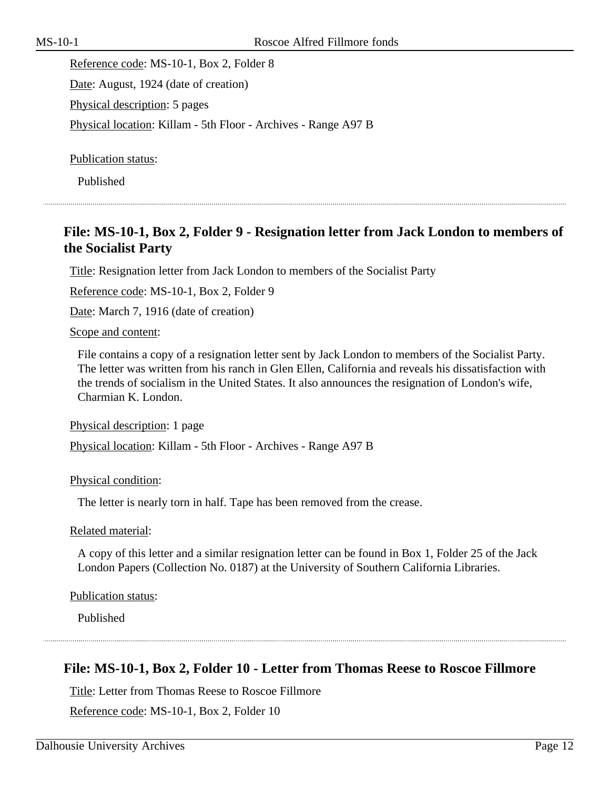Reference code: MS-10-1, Box 2, Folder 8 Date: August, 1924 (date of creation) Physical description: 5 pages Physical location: Killam - 5th Floor - Archives - Range A97 B

Publication status:

Published

## **File: MS-10-1, Box 2, Folder 9 - Resignation letter from Jack London to members of the Socialist Party**

Title: Resignation letter from Jack London to members of the Socialist Party

Reference code: MS-10-1, Box 2, Folder 9

Date: March 7, 1916 (date of creation)

Scope and content:

File contains a copy of a resignation letter sent by Jack London to members of the Socialist Party. The letter was written from his ranch in Glen Ellen, California and reveals his dissatisfaction with the trends of socialism in the United States. It also announces the resignation of London's wife, Charmian K. London.

Physical description: 1 page

Physical location: Killam - 5th Floor - Archives - Range A97 B

Physical condition:

The letter is nearly torn in half. Tape has been removed from the crease.

Related material:

A copy of this letter and a similar resignation letter can be found in Box 1, Folder 25 of the Jack London Papers (Collection No. 0187) at the University of Southern California Libraries.

Publication status:

Published

#### **File: MS-10-1, Box 2, Folder 10 - Letter from Thomas Reese to Roscoe Fillmore**

Title: Letter from Thomas Reese to Roscoe Fillmore

Reference code: MS-10-1, Box 2, Folder 10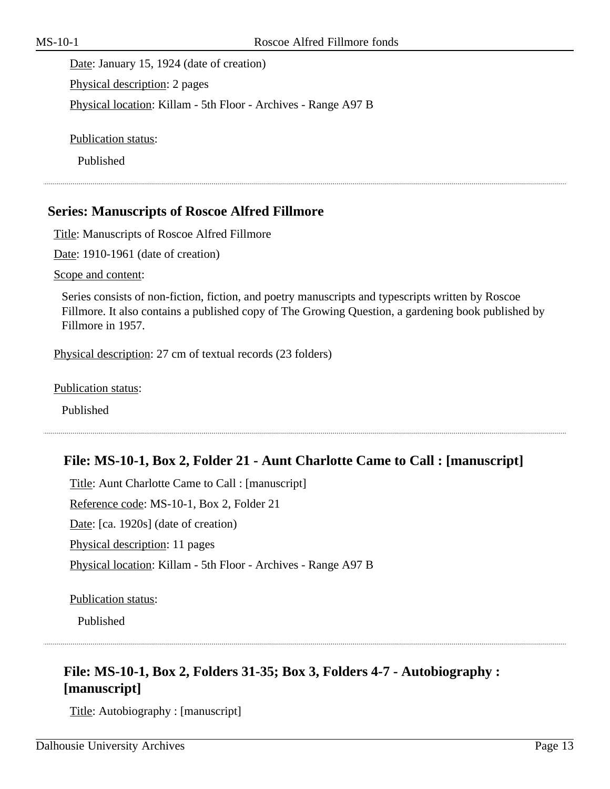Date: January 15, 1924 (date of creation) Physical description: 2 pages Physical location: Killam - 5th Floor - Archives - Range A97 B

Publication status:

Published

#### <span id="page-12-0"></span>**Series: Manuscripts of Roscoe Alfred Fillmore**

Title: Manuscripts of Roscoe Alfred Fillmore

Date: 1910-1961 (date of creation)

Scope and content:

Series consists of non-fiction, fiction, and poetry manuscripts and typescripts written by Roscoe Fillmore. It also contains a published copy of The Growing Question, a gardening book published by Fillmore in 1957.

Physical description: 27 cm of textual records (23 folders)

Publication status:

Published

#### **File: MS-10-1, Box 2, Folder 21 - Aunt Charlotte Came to Call : [manuscript]**

Title: Aunt Charlotte Came to Call : [manuscript] Reference code: MS-10-1, Box 2, Folder 21 Date: [ca. 1920s] (date of creation) Physical description: 11 pages Physical location: Killam - 5th Floor - Archives - Range A97 B

Publication status:

Published

## **File: MS-10-1, Box 2, Folders 31-35; Box 3, Folders 4-7 - Autobiography : [manuscript]**

Title: Autobiography : [manuscript]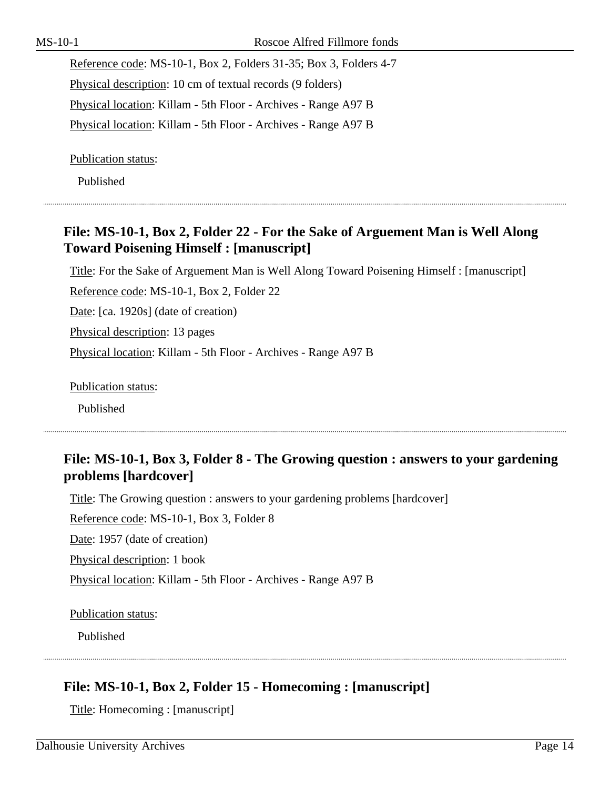Reference code: MS-10-1, Box 2, Folders 31-35; Box 3, Folders 4-7 Physical description: 10 cm of textual records (9 folders) Physical location: Killam - 5th Floor - Archives - Range A97 B Physical location: Killam - 5th Floor - Archives - Range A97 B

Publication status:

Published

# **File: MS-10-1, Box 2, Folder 22 - For the Sake of Arguement Man is Well Along Toward Poisening Himself : [manuscript]**

Title: For the Sake of Arguement Man is Well Along Toward Poisening Himself : [manuscript]

Reference code: MS-10-1, Box 2, Folder 22

Date: [ca. 1920s] (date of creation)

Physical description: 13 pages

Physical location: Killam - 5th Floor - Archives - Range A97 B

Publication status:

Published

# **File: MS-10-1, Box 3, Folder 8 - The Growing question : answers to your gardening problems [hardcover]**

Title: The Growing question : answers to your gardening problems [hardcover]

Reference code: MS-10-1, Box 3, Folder 8

Date: 1957 (date of creation)

Physical description: 1 book

Physical location: Killam - 5th Floor - Archives - Range A97 B

Publication status:

Published

# **File: MS-10-1, Box 2, Folder 15 - Homecoming : [manuscript]**

Title: Homecoming : [manuscript]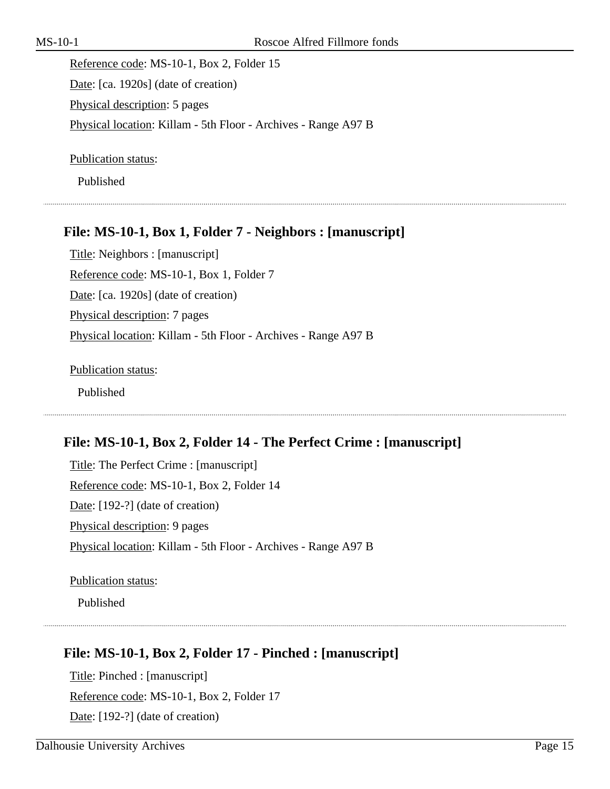Reference code: MS-10-1, Box 2, Folder 15 Date: [ca. 1920s] (date of creation) Physical description: 5 pages Physical location: Killam - 5th Floor - Archives - Range A97 B

Publication status:

Published

## **File: MS-10-1, Box 1, Folder 7 - Neighbors : [manuscript]**

Title: Neighbors : [manuscript] Reference code: MS-10-1, Box 1, Folder 7 Date: [ca. 1920s] (date of creation) Physical description: 7 pages Physical location: Killam - 5th Floor - Archives - Range A97 B

Publication status: Published

#### **File: MS-10-1, Box 2, Folder 14 - The Perfect Crime : [manuscript]**

Title: The Perfect Crime : [manuscript] Reference code: MS-10-1, Box 2, Folder 14 Date: [192-?] (date of creation) Physical description: 9 pages Physical location: Killam - 5th Floor - Archives - Range A97 B

Publication status:

Published

## **File: MS-10-1, Box 2, Folder 17 - Pinched : [manuscript]**

Title: Pinched : [manuscript] Reference code: MS-10-1, Box 2, Folder 17 Date: [192-?] (date of creation)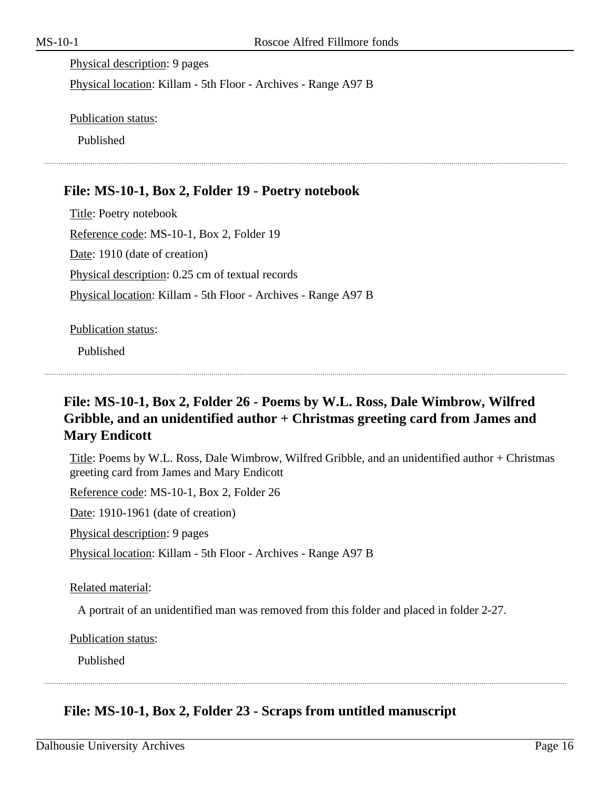Physical description: 9 pages Physical location: Killam - 5th Floor - Archives - Range A97 B

Publication status:

Published

## **File: MS-10-1, Box 2, Folder 19 - Poetry notebook**

Title: Poetry notebook Reference code: MS-10-1, Box 2, Folder 19 Date: 1910 (date of creation) Physical description: 0.25 cm of textual records Physical location: Killam - 5th Floor - Archives - Range A97 B

Publication status:

Published

## **File: MS-10-1, Box 2, Folder 26 - Poems by W.L. Ross, Dale Wimbrow, Wilfred Gribble, and an unidentified author + Christmas greeting card from James and Mary Endicott**

Title: Poems by W.L. Ross, Dale Wimbrow, Wilfred Gribble, and an unidentified author + Christmas greeting card from James and Mary Endicott

Reference code: MS-10-1, Box 2, Folder 26

Date: 1910-1961 (date of creation)

Physical description: 9 pages

Physical location: Killam - 5th Floor - Archives - Range A97 B

Related material:

A portrait of an unidentified man was removed from this folder and placed in folder 2-27.

Publication status:

Published

## **File: MS-10-1, Box 2, Folder 23 - Scraps from untitled manuscript**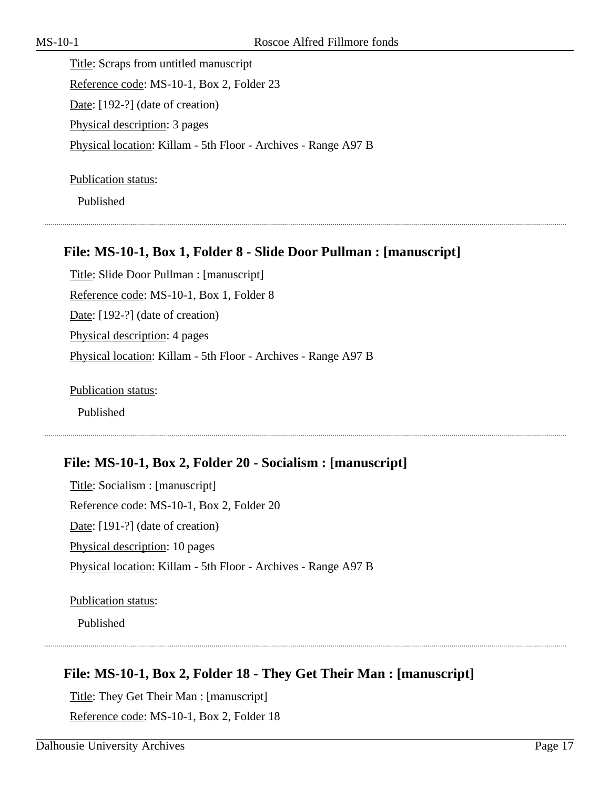Title: Scraps from untitled manuscript Reference code: MS-10-1, Box 2, Folder 23 Date: [192-?] (date of creation) Physical description: 3 pages Physical location: Killam - 5th Floor - Archives - Range A97 B

Publication status:

Published

#### **File: MS-10-1, Box 1, Folder 8 - Slide Door Pullman : [manuscript]**

Title: Slide Door Pullman : [manuscript] Reference code: MS-10-1, Box 1, Folder 8 Date: [192-?] (date of creation) Physical description: 4 pages Physical location: Killam - 5th Floor - Archives - Range A97 B

Publication status:

Published

#### **File: MS-10-1, Box 2, Folder 20 - Socialism : [manuscript]**

Title: Socialism : [manuscript] Reference code: MS-10-1, Box 2, Folder 20 Date: [191-?] (date of creation) Physical description: 10 pages Physical location: Killam - 5th Floor - Archives - Range A97 B

Publication status:

Published

## **File: MS-10-1, Box 2, Folder 18 - They Get Their Man : [manuscript]**

Title: They Get Their Man : [manuscript] Reference code: MS-10-1, Box 2, Folder 18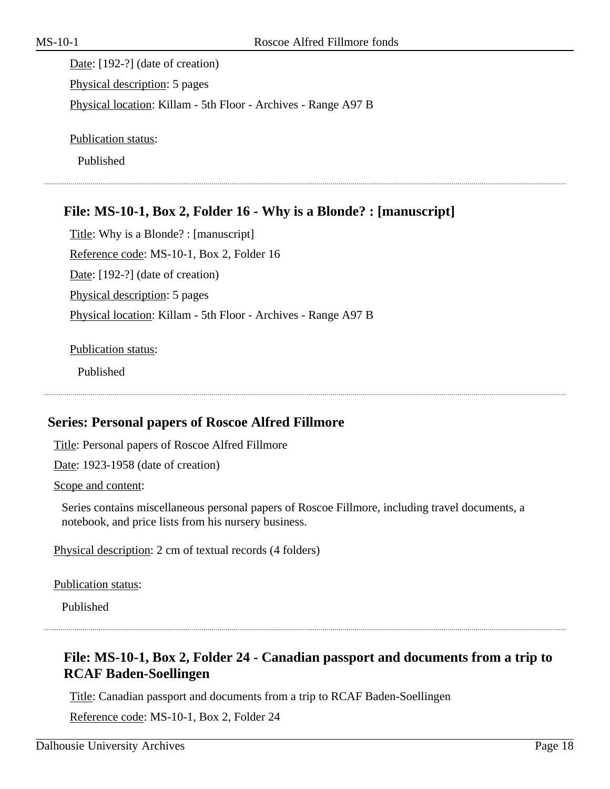Date: [192-?] (date of creation) Physical description: 5 pages Physical location: Killam - 5th Floor - Archives - Range A97 B

Publication status:

Published

## **File: MS-10-1, Box 2, Folder 16 - Why is a Blonde? : [manuscript]**

Title: Why is a Blonde? : [manuscript] Reference code: MS-10-1, Box 2, Folder 16 Date: [192-?] (date of creation) Physical description: 5 pages Physical location: Killam - 5th Floor - Archives - Range A97 B

Publication status:

Published

#### <span id="page-17-0"></span>**Series: Personal papers of Roscoe Alfred Fillmore**

Title: Personal papers of Roscoe Alfred Fillmore

Date: 1923-1958 (date of creation)

Scope and content:

Series contains miscellaneous personal papers of Roscoe Fillmore, including travel documents, a notebook, and price lists from his nursery business.

Physical description: 2 cm of textual records (4 folders)

Publication status:

Published

## **File: MS-10-1, Box 2, Folder 24 - Canadian passport and documents from a trip to RCAF Baden-Soellingen**

Title: Canadian passport and documents from a trip to RCAF Baden-Soellingen

Reference code: MS-10-1, Box 2, Folder 24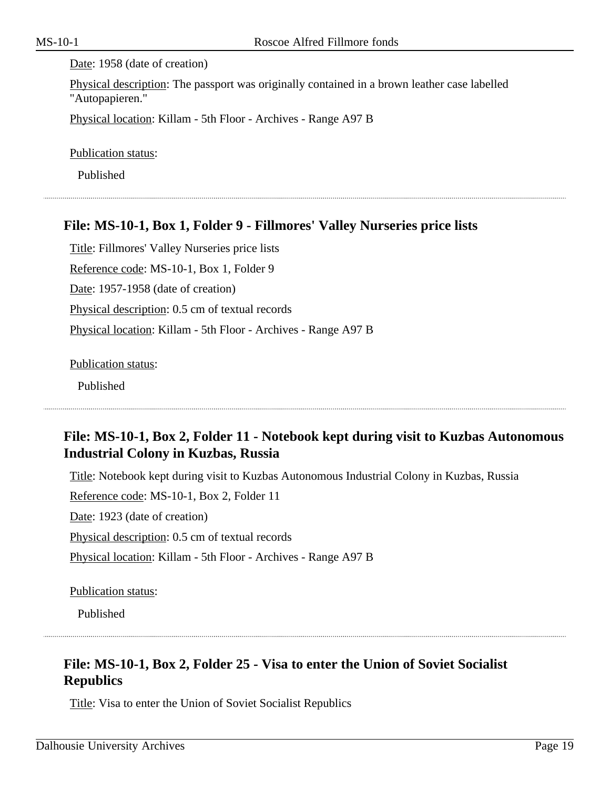#### Date: 1958 (date of creation)

Physical description: The passport was originally contained in a brown leather case labelled "Autopapieren."

Physical location: Killam - 5th Floor - Archives - Range A97 B

Publication status:

Published

## **File: MS-10-1, Box 1, Folder 9 - Fillmores' Valley Nurseries price lists**

Title: Fillmores' Valley Nurseries price lists Reference code: MS-10-1, Box 1, Folder 9 Date: 1957-1958 (date of creation) Physical description: 0.5 cm of textual records Physical location: Killam - 5th Floor - Archives - Range A97 B

Publication status:

Published

## **File: MS-10-1, Box 2, Folder 11 - Notebook kept during visit to Kuzbas Autonomous Industrial Colony in Kuzbas, Russia**

Title: Notebook kept during visit to Kuzbas Autonomous Industrial Colony in Kuzbas, Russia Reference code: MS-10-1, Box 2, Folder 11 Date: 1923 (date of creation) Physical description: 0.5 cm of textual records Physical location: Killam - 5th Floor - Archives - Range A97 B

Publication status:

Published

## **File: MS-10-1, Box 2, Folder 25 - Visa to enter the Union of Soviet Socialist Republics**

Title: Visa to enter the Union of Soviet Socialist Republics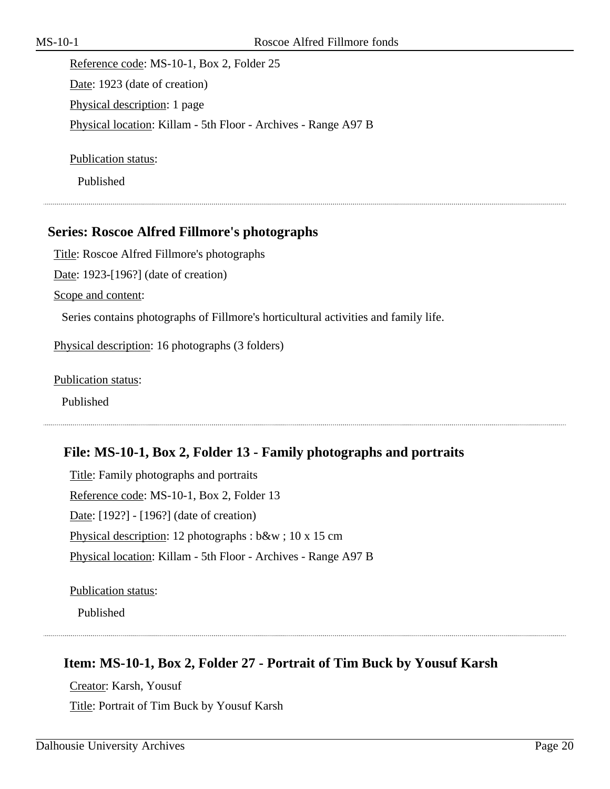Reference code: MS-10-1, Box 2, Folder 25 Date: 1923 (date of creation) Physical description: 1 page Physical location: Killam - 5th Floor - Archives - Range A97 B

Publication status:

Published

#### <span id="page-19-0"></span>**Series: Roscoe Alfred Fillmore's photographs**

Title: Roscoe Alfred Fillmore's photographs

Date: 1923-[196?] (date of creation)

Scope and content:

Series contains photographs of Fillmore's horticultural activities and family life.

Physical description: 16 photographs (3 folders)

Publication status:

Published

#### **File: MS-10-1, Box 2, Folder 13 - Family photographs and portraits**

Title: Family photographs and portraits Reference code: MS-10-1, Box 2, Folder 13 Date: [192?] - [196?] (date of creation) Physical description: 12 photographs : b&w ; 10 x 15 cm Physical location: Killam - 5th Floor - Archives - Range A97 B

Publication status:

Published

#### **Item: MS-10-1, Box 2, Folder 27 - Portrait of Tim Buck by Yousuf Karsh**

Creator: Karsh, Yousuf Title: Portrait of Tim Buck by Yousuf Karsh